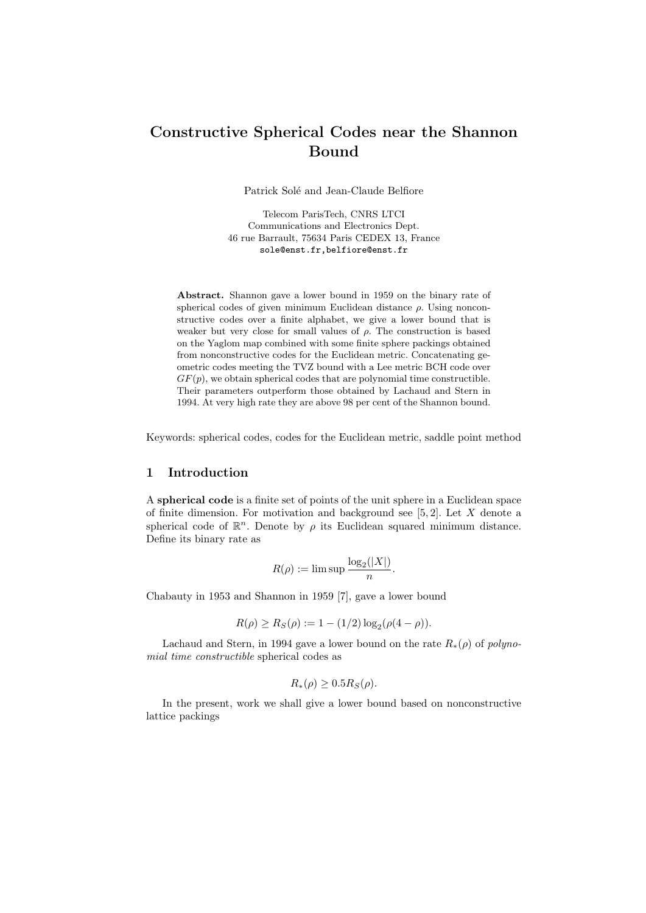# Constructive Spherical Codes near the Shannon Bound

Patrick Solé and Jean-Claude Belfiore

Telecom ParisTech, CNRS LTCI Communications and Electronics Dept. 46 rue Barrault, 75634 Paris CEDEX 13, France sole@enst.fr,belfiore@enst.fr

Abstract. Shannon gave a lower bound in 1959 on the binary rate of spherical codes of given minimum Euclidean distance  $\rho$ . Using nonconstructive codes over a finite alphabet, we give a lower bound that is weaker but very close for small values of  $\rho$ . The construction is based on the Yaglom map combined with some finite sphere packings obtained from nonconstructive codes for the Euclidean metric. Concatenating geometric codes meeting the TVZ bound with a Lee metric BCH code over  $GF(p)$ , we obtain spherical codes that are polynomial time constructible. Their parameters outperform those obtained by Lachaud and Stern in 1994. At very high rate they are above 98 per cent of the Shannon bound.

Keywords: spherical codes, codes for the Euclidean metric, saddle point method

## 1 Introduction

A spherical code is a finite set of points of the unit sphere in a Euclidean space of finite dimension. For motivation and background see  $[5, 2]$ . Let X denote a spherical code of  $\mathbb{R}^n$ . Denote by  $\rho$  its Euclidean squared minimum distance. Define its binary rate as

$$
R(\rho) := \limsup \frac{\log_2(|X|)}{n}.
$$

Chabauty in 1953 and Shannon in 1959 [7], gave a lower bound

$$
R(\rho) \ge R_S(\rho) := 1 - (1/2) \log_2(\rho(4-\rho)).
$$

Lachaud and Stern, in 1994 gave a lower bound on the rate  $R_*(\rho)$  of polynomial time constructible spherical codes as

$$
R_*(\rho) \ge 0.5 R_S(\rho).
$$

In the present, work we shall give a lower bound based on nonconstructive lattice packings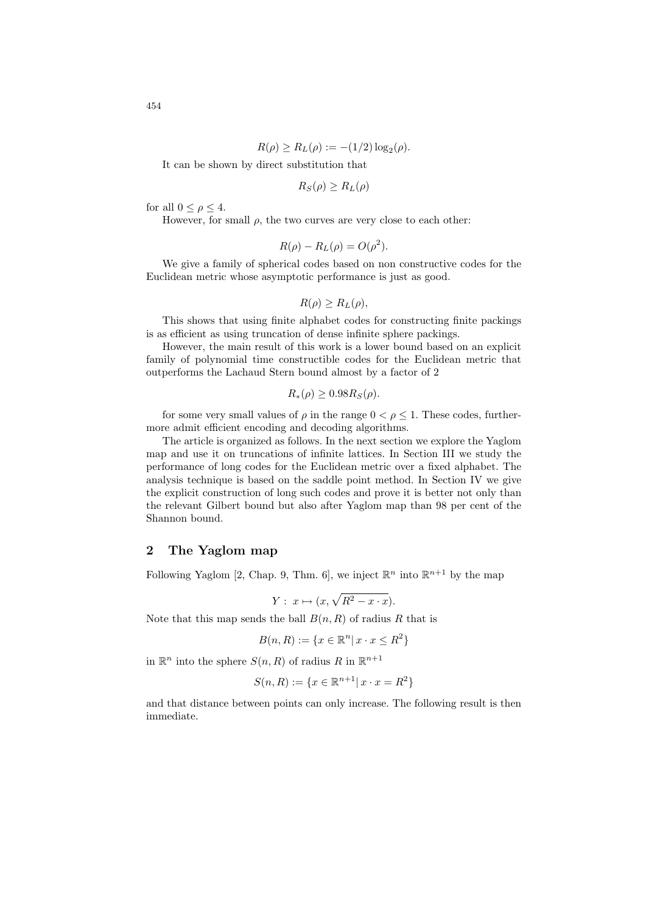$$
R(\rho) \ge R_L(\rho) := -(1/2) \log_2(\rho).
$$

It can be shown by direct substitution that

$$
R_S(\rho) \ge R_L(\rho)
$$

for all  $0 \leq \rho \leq 4$ .

However, for small  $\rho$ , the two curves are very close to each other:

$$
R(\rho) - R_L(\rho) = O(\rho^2).
$$

We give a family of spherical codes based on non constructive codes for the Euclidean metric whose asymptotic performance is just as good.

 $R(\rho) \geq R_L(\rho),$ 

This shows that using finite alphabet codes for constructing finite packings is as efficient as using truncation of dense infinite sphere packings.

However, the main result of this work is a lower bound based on an explicit family of polynomial time constructible codes for the Euclidean metric that outperforms the Lachaud Stern bound almost by a factor of 2

$$
R_*(\rho) \ge 0.98 R_S(\rho).
$$

for some very small values of  $\rho$  in the range  $0 < \rho \leq 1$ . These codes, furthermore admit efficient encoding and decoding algorithms.

The article is organized as follows. In the next section we explore the Yaglom map and use it on truncations of infinite lattices. In Section III we study the performance of long codes for the Euclidean metric over a fixed alphabet. The analysis technique is based on the saddle point method. In Section IV we give the explicit construction of long such codes and prove it is better not only than the relevant Gilbert bound but also after Yaglom map than 98 per cent of the Shannon bound.

## 2 The Yaglom map

Following Yaglom [2, Chap. 9, Thm. 6], we inject  $\mathbb{R}^n$  into  $\mathbb{R}^{n+1}$  by the map

$$
Y: x \mapsto (x, \sqrt{R^2 - x \cdot x}).
$$

Note that this map sends the ball  $B(n, R)$  of radius R that is

$$
B(n, R) := \{ x \in \mathbb{R}^n | x \cdot x \le R^2 \}
$$

in  $\mathbb{R}^n$  into the sphere  $S(n, R)$  of radius R in  $\mathbb{R}^{n+1}$ 

$$
S(n, R) := \{ x \in \mathbb{R}^{n+1} | x \cdot x = R^2 \}
$$

and that distance between points can only increase. The following result is then immediate.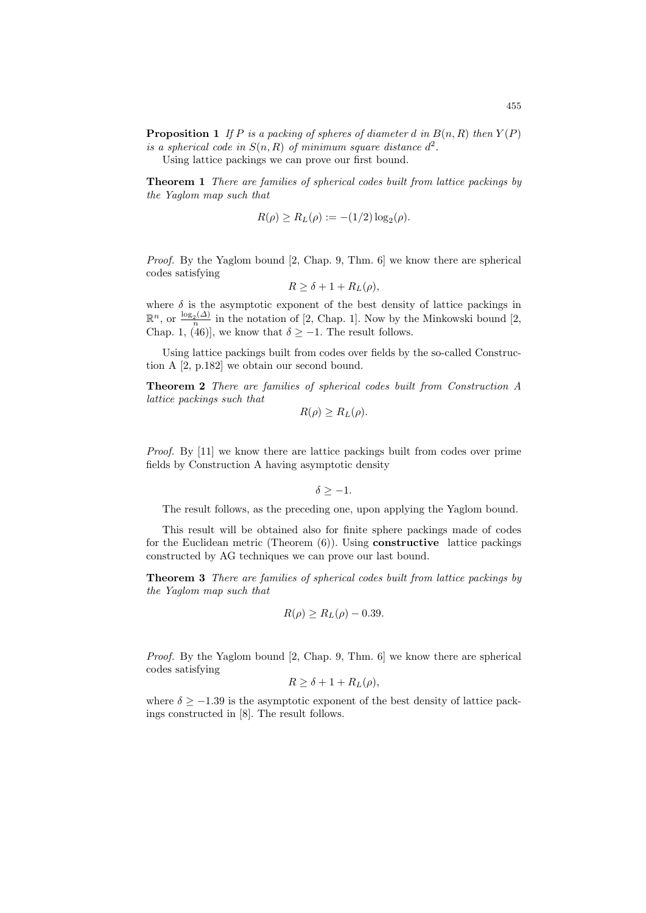Using lattice packings we can prove our first bound.

Theorem 1 There are families of spherical codes built from lattice packings by the Yaglom map such that

$$
R(\rho) \ge R_L(\rho) := -(1/2) \log_2(\rho).
$$

Proof. By the Yaglom bound [2, Chap. 9, Thm. 6] we know there are spherical codes satisfying

$$
R \ge \delta + 1 + R_L(\rho),
$$

where  $\delta$  is the asymptotic exponent of the best density of lattice packings in  $\mathbb{R}^n$ , or  $\frac{\log_2(\Delta)}{n}$  $\frac{p_2(\Delta)}{p}$  in the notation of [2, Chap. 1]. Now by the Minkowski bound [2, Chap. 1, (46)], we know that  $\delta \ge -1$ . The result follows.

Using lattice packings built from codes over fields by the so-called Construction A [2, p.182] we obtain our second bound.

Theorem 2 There are families of spherical codes built from Construction A lattice packings such that

$$
R(\rho) \ge R_L(\rho).
$$

Proof. By [11] we know there are lattice packings built from codes over prime fields by Construction A having asymptotic density

 $\delta > -1$ .

The result follows, as the preceding one, upon applying the Yaglom bound.

This result will be obtained also for finite sphere packings made of codes for the Euclidean metric (Theorem  $(6)$ ). Using **constructive** lattice packings constructed by AG techniques we can prove our last bound.

Theorem 3 There are families of spherical codes built from lattice packings by the Yaglom map such that

$$
R(\rho) \ge R_L(\rho) - 0.39.
$$

Proof. By the Yaglom bound [2, Chap. 9, Thm. 6] we know there are spherical codes satisfying

$$
R \ge \delta + 1 + R_L(\rho),
$$

where  $\delta$  > −1.39 is the asymptotic exponent of the best density of lattice packings constructed in [8]. The result follows.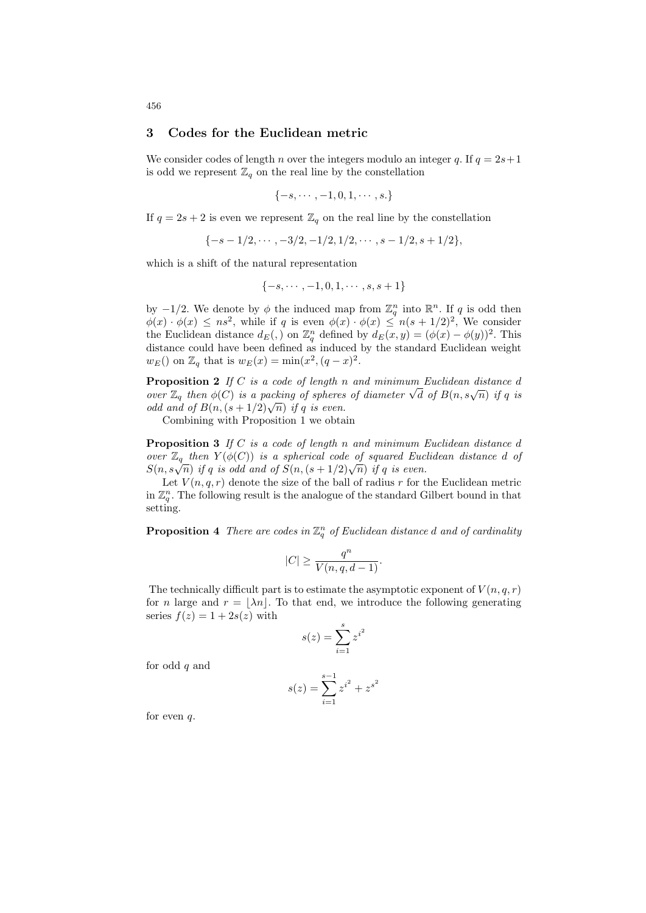#### 3 Codes for the Euclidean metric

We consider codes of length *n* over the integers modulo an integer q. If  $q = 2s+1$ is odd we represent  $\mathbb{Z}_q$  on the real line by the constellation

$$
\{-s,\cdots,-1,0,1,\cdots,s.\}
$$

If  $q = 2s + 2$  is even we represent  $\mathbb{Z}_q$  on the real line by the constellation

 $\{-s-1/2,\cdots,-3/2,-1/2,1/2,\cdots,s-1/2,s+1/2\},\$ 

which is a shift of the natural representation

$$
\{-s, \cdots, -1, 0, 1, \cdots, s, s+1\}
$$

by  $-1/2$ . We denote by  $\phi$  the induced map from  $\mathbb{Z}_q^n$  into  $\mathbb{R}^n$ . If q is odd then  $\phi(x) \cdot \phi(x) \leq ns^2$ , while if q is even  $\phi(x) \cdot \phi(x) \leq n(s+1/2)^2$ , We consider the Euclidean distance  $d_E(.)$  on  $\mathbb{Z}_q^n$  defined by  $d_E(x,y) = (\phi(x) - \phi(y))^2$ . This distance could have been defined as induced by the standard Euclidean weight  $w_E()$  on  $\mathbb{Z}_q$  that is  $w_E(x) = \min(x^2, (q - x)^2)$ .

**Proposition 2** If  $C$  is a code of length  $n$  and minimum Euclidean distance  $d$ over  $\mathbb{Z}_q$  then  $\phi(C)$  is a packing of spheres of diameter  $\sqrt{d}$  of  $B(n, s\sqrt{n})$  if q is odd and of  $B(n, (s+1/2)\sqrt{n})$  if q is even.

Combining with Proposition 1 we obtain

**Proposition 3** If  $C$  is a code of length n and minimum Euclidean distance  $d$ over  $\mathbb{Z}_q$  then  $Y(\phi(C))$  is a spherical code of squared Euclidean distance d of  $S(n,s\sqrt{n})$  if q is odd and of  $S(n,(s+1/2)\sqrt{n})$  if q is even.

Let  $V(n, q, r)$  denote the size of the ball of radius r for the Euclidean metric in  $\mathbb{Z}_q^n$ . The following result is the analogue of the standard Gilbert bound in that setting.

**Proposition 4** There are codes in  $\mathbb{Z}_q^n$  of Euclidean distance d and of cardinality

$$
|C| \ge \frac{q^n}{V(n, q, d-1)}.
$$

The technically difficult part is to estimate the asymptotic exponent of  $V(n, q, r)$ for n large and  $r = |\lambda n|$ . To that end, we introduce the following generating series  $f(z) = 1 + 2s(z)$  with

$$
s(z) = \sum_{i=1}^{s} z^{i^2}
$$

for odd  $q$  and

$$
s(z) = \sum_{i=1}^{s-1} z^{i^2} + z^{s^2}
$$

for even  $q$ .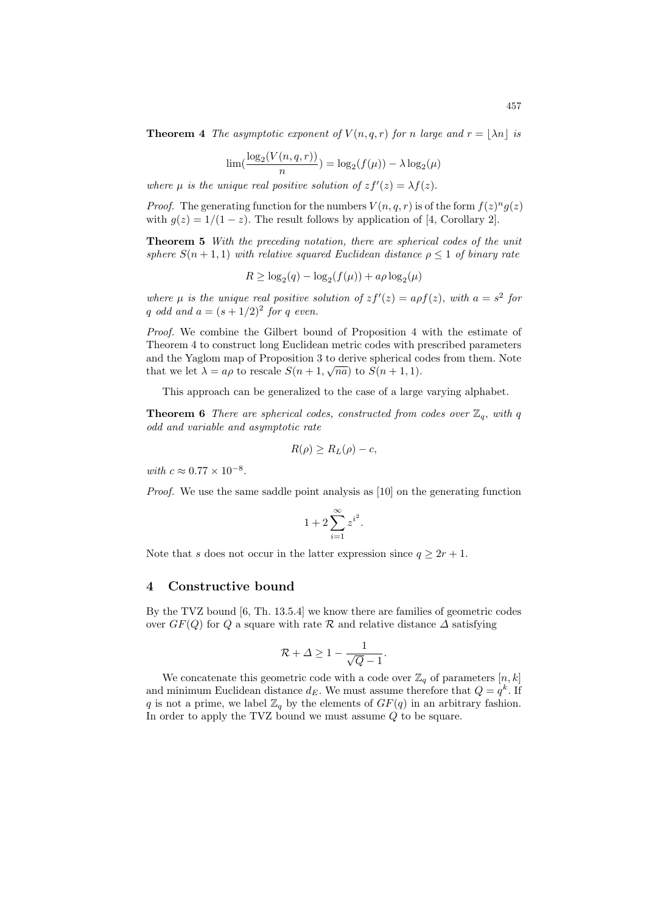**Theorem 4** The asymptotic exponent of  $V(n,q,r)$  for n large and  $r = |\lambda n|$  is

$$
\lim_{n} \left( \frac{\log_2(V(n, q, r))}{n} \right) = \log_2(f(\mu)) - \lambda \log_2(\mu)
$$

where  $\mu$  is the unique real positive solution of  $zf'(z) = \lambda f(z)$ .

*Proof.* The generating function for the numbers  $V(n, q, r)$  is of the form  $f(z)^n g(z)$ with  $g(z) = 1/(1-z)$ . The result follows by application of [4, Corollary 2].

Theorem 5 With the preceding notation, there are spherical codes of the unit sphere  $S(n+1,1)$  with relative squared Euclidean distance  $\rho \leq 1$  of binary rate

$$
R \ge \log_2(q) - \log_2(f(\mu)) + a\rho \log_2(\mu)
$$

where  $\mu$  is the unique real positive solution of  $zf'(z) = af(z)$ , with  $a = s^2$  for q odd and  $a = (s + 1/2)^2$  for q even.

Proof. We combine the Gilbert bound of Proposition 4 with the estimate of Theorem 4 to construct long Euclidean metric codes with prescribed parameters and the Yaglom map of Proposition 3 to derive spherical codes from them. Note that we let  $\lambda = a\rho$  to rescale  $S(n+1, \sqrt{na})$  to  $S(n+1, 1)$ .

This approach can be generalized to the case of a large varying alphabet.

**Theorem 6** There are spherical codes, constructed from codes over  $\mathbb{Z}_q$ , with q odd and variable and asymptotic rate

$$
R(\rho) \ge R_L(\rho) - c,
$$

with  $c \approx 0.77 \times 10^{-8}$ .

Proof. We use the same saddle point analysis as [10] on the generating function

$$
1 + 2\sum_{i=1}^{\infty} z^{i^2}.
$$

Note that s does not occur in the latter expression since  $q \geq 2r + 1$ .

#### 4 Constructive bound

By the TVZ bound [6, Th. 13.5.4] we know there are families of geometric codes over  $GF(Q)$  for Q a square with rate R and relative distance  $\Delta$  satisfying

$$
\mathcal{R}+\varDelta\geq 1-\frac{1}{\sqrt{Q}-1}.
$$

We concatenate this geometric code with a code over  $\mathbb{Z}_q$  of parameters  $[n, k]$ and minimum Euclidean distance  $d_E$ . We must assume therefore that  $Q = q^k$ . If q is not a prime, we label  $\mathbb{Z}_q$  by the elements of  $GF(q)$  in an arbitrary fashion. In order to apply the TVZ bound we must assume  $Q$  to be square.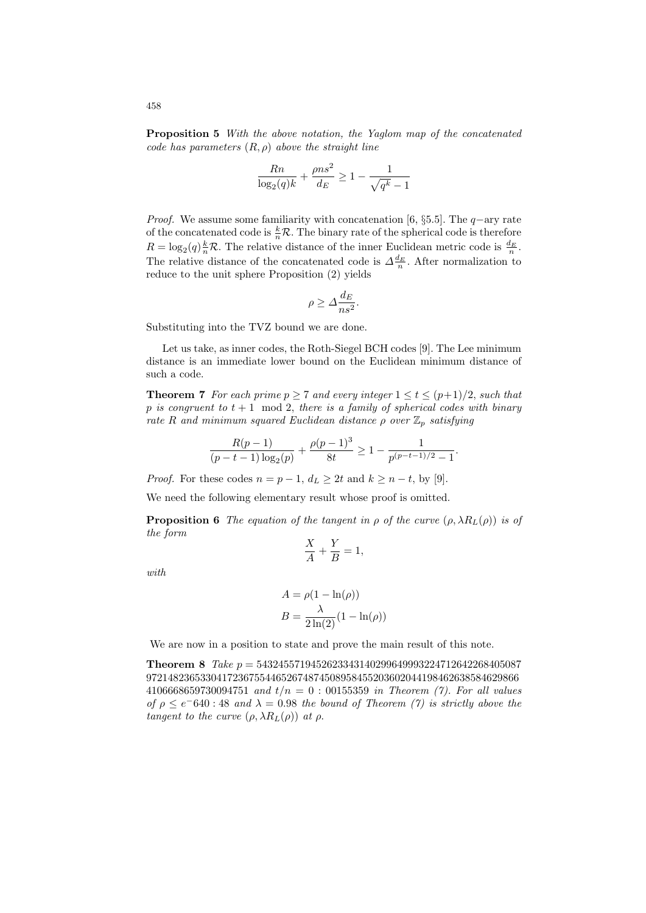Proposition 5 With the above notation, the Yaglom map of the concatenated code has parameters  $(R, \rho)$  above the straight line

$$
\frac{Rn}{\log_2(q)k} + \frac{\rho n s^2}{d_E} \ge 1 - \frac{1}{\sqrt{q^k} - 1}
$$

*Proof.* We assume some familiarity with concatenation [6, §5.5]. The  $q$ -ary rate of the concatenated code is  $\frac{k}{n}\mathcal{R}$ . The binary rate of the spherical code is therefore  $R = \log_2(q) \frac{k}{n} \mathcal{R}$ . The relative distance of the inner Euclidean metric code is  $\frac{d_E}{n}$ . The relative distance of the concatenated code is  $\Delta \frac{d_E}{n}$ . After normalization to reduce to the unit sphere Proposition (2) yields

$$
\rho \ge \Delta \frac{d_E}{n s^2}.
$$

Substituting into the TVZ bound we are done.

Let us take, as inner codes, the Roth-Siegel BCH codes [9]. The Lee minimum distance is an immediate lower bound on the Euclidean minimum distance of such a code.

**Theorem 7** For each prime  $p \ge 7$  and every integer  $1 \le t \le (p+1)/2$ , such that  $p$  is congruent to  $t + 1 \mod 2$ , there is a family of spherical codes with binary rate R and minimum squared Euclidean distance  $\rho$  over  $\mathbb{Z}_p$  satisfying

$$
\frac{R(p-1)}{(p-t-1)\log_2(p)} + \frac{\rho(p-1)^3}{8t} \ge 1 - \frac{1}{p^{(p-t-1)/2} - 1}.
$$

*Proof.* For these codes  $n = p - 1$ ,  $d_L \geq 2t$  and  $k \geq n - t$ , by [9].

We need the following elementary result whose proof is omitted.

**Proposition 6** The equation of the tangent in  $\rho$  of the curve  $(\rho, \lambda R_L(\rho))$  is of the form

$$
\frac{X}{A} + \frac{Y}{B} = 1,
$$

with

$$
A = \rho(1 - \ln(\rho))
$$

$$
B = \frac{\lambda}{2\ln(2)}(1 - \ln(\rho))
$$

We are now in a position to state and prove the main result of this note.

**Theorem 8** Take  $p = 5432455719452623343140299649993224712642268405087$ 972148236533041723675544652674874508958455203602044198462638584629866 4106668659730094751 and  $t/n = 0$ : 00155359 in Theorem (7). For all values of  $\rho \le e^{-640}$ : 48 and  $\lambda = 0.98$  the bound of Theorem (7) is strictly above the tangent to the curve  $(\rho, \lambda R_L(\rho))$  at  $\rho$ .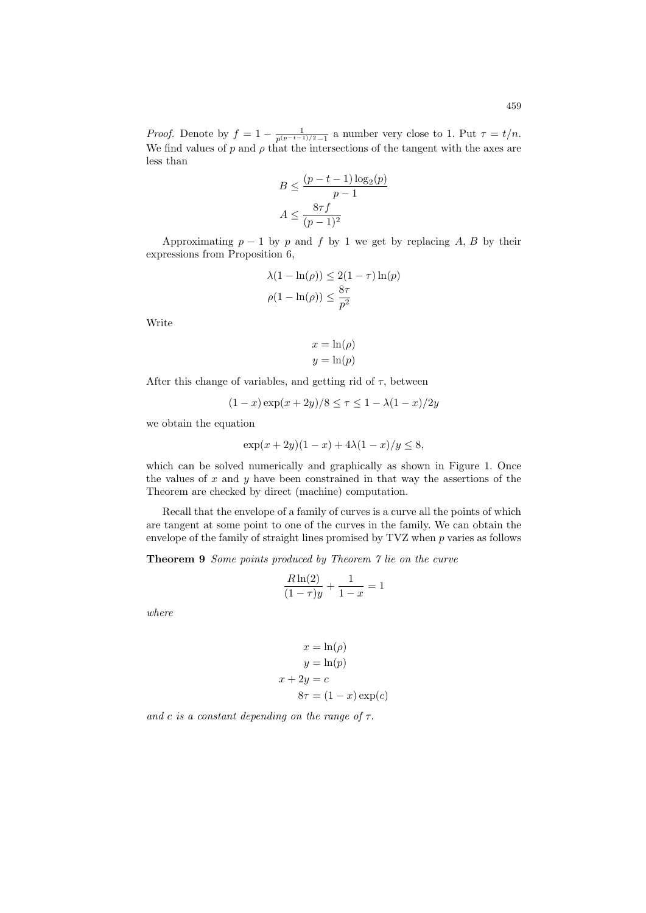*Proof.* Denote by  $f = 1 - \frac{1}{p^{(p-t-1)/2} - 1}$  a number very close to 1. Put  $\tau = t/n$ . We find values of p and  $\rho$  that the intersections of the tangent with the axes are less than

$$
B \le \frac{(p-t-1)\log_2(p)}{p-1}
$$

$$
A \le \frac{8\tau f}{(p-1)^2}
$$

Approximating  $p - 1$  by p and f by 1 we get by replacing A, B by their expressions from Proposition 6,

$$
\lambda(1 - \ln(\rho)) \le 2(1 - \tau) \ln(p)
$$

$$
\rho(1 - \ln(\rho)) \le \frac{8\tau}{p^2}
$$

Write

$$
x = \ln(\rho)
$$

$$
y = \ln(p)
$$

After this change of variables, and getting rid of  $\tau$ , between

$$
(1 - x) \exp(x + 2y) / 8 \le \tau \le 1 - \lambda (1 - x) / 2y
$$

we obtain the equation

$$
\exp(x + 2y)(1 - x) + 4\lambda(1 - x)/y \le 8,
$$

which can be solved numerically and graphically as shown in Figure 1. Once the values of  $x$  and  $y$  have been constrained in that way the assertions of the Theorem are checked by direct (machine) computation.

Recall that the envelope of a family of curves is a curve all the points of which are tangent at some point to one of the curves in the family. We can obtain the envelope of the family of straight lines promised by  $TVZ$  when  $p$  varies as follows

Theorem 9 Some points produced by Theorem 7 lie on the curve

$$
\frac{R\ln(2)}{(1-\tau)y} + \frac{1}{1-x} = 1
$$

where

$$
x = \ln(\rho)
$$

$$
y = \ln(p)
$$

$$
x + 2y = c
$$

$$
8\tau = (1 - x) \exp(c)
$$

and c is a constant depending on the range of  $\tau$ .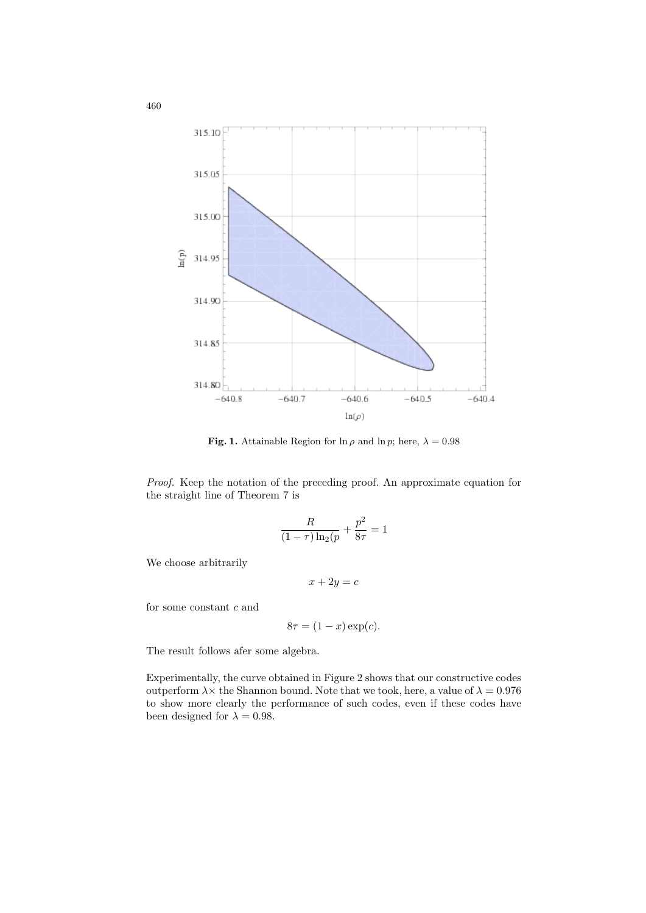

**Fig. 1.** Attainable Region for  $\ln \rho$  and  $\ln p$ ; here,  $\lambda = 0.98$ 

Proof. Keep the notation of the preceding proof. An approximate equation for the straight line of Theorem 7 is

$$
\frac{R}{(1-\tau)\ln_2(p)} + \frac{p^2}{8\tau} = 1
$$

We choose arbitrarily

$$
x + 2y = c
$$

for some constant  $c$  and

$$
8\tau = (1 - x) \exp(c).
$$

The result follows afer some algebra.

Experimentally, the curve obtained in Figure 2 shows that our constructive codes outperform  $\lambda \times$  the Shannon bound. Note that we took, here, a value of  $\lambda = 0.976$ to show more clearly the performance of such codes, even if these codes have been designed for  $\lambda = 0.98$ .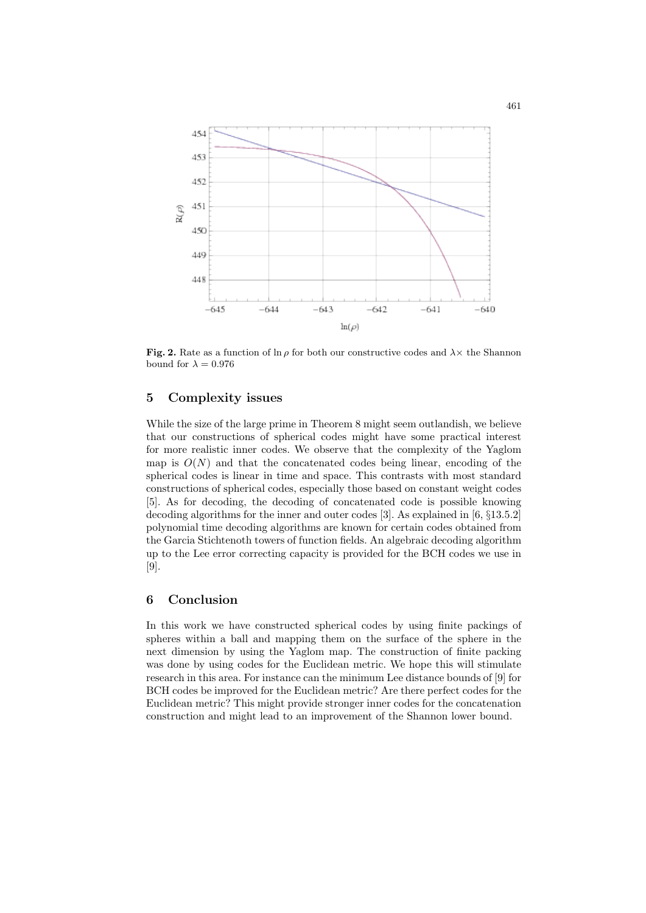

Fig. 2. Rate as a function of ln  $\rho$  for both our constructive codes and  $\lambda \times$  the Shannon bound for  $\lambda = 0.976$ 

### 5 Complexity issues

While the size of the large prime in Theorem 8 might seem outlandish, we believe that our constructions of spherical codes might have some practical interest for more realistic inner codes. We observe that the complexity of the Yaglom map is  $O(N)$  and that the concatenated codes being linear, encoding of the spherical codes is linear in time and space. This contrasts with most standard constructions of spherical codes, especially those based on constant weight codes [5]. As for decoding, the decoding of concatenated code is possible knowing decoding algorithms for the inner and outer codes [3]. As explained in [6, §13.5.2] polynomial time decoding algorithms are known for certain codes obtained from the Garcia Stichtenoth towers of function fields. An algebraic decoding algorithm up to the Lee error correcting capacity is provided for the BCH codes we use in [9].

## 6 Conclusion

In this work we have constructed spherical codes by using finite packings of spheres within a ball and mapping them on the surface of the sphere in the next dimension by using the Yaglom map. The construction of finite packing was done by using codes for the Euclidean metric. We hope this will stimulate research in this area. For instance can the minimum Lee distance bounds of [9] for BCH codes be improved for the Euclidean metric? Are there perfect codes for the Euclidean metric? This might provide stronger inner codes for the concatenation construction and might lead to an improvement of the Shannon lower bound.